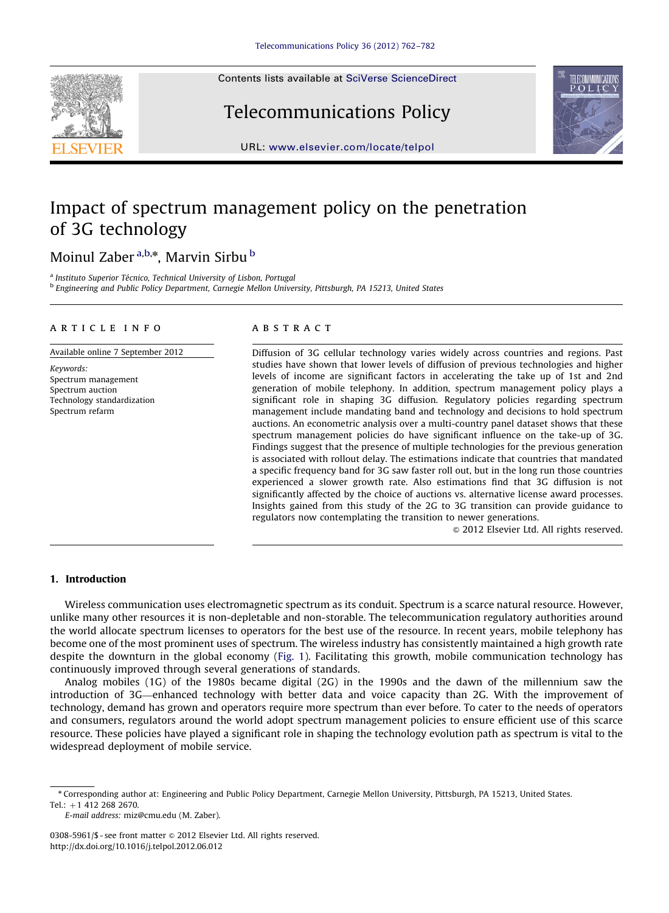Contents lists available at [SciVerse ScienceDirect](www.elsevier.com/locate/telpol)



# Telecommunications Policy



URL: <www.elsevier.com/locate/telpol>

# Impact of spectrum management policy on the penetration of 3G technology

### Moinul Zaber<sup>a,b,\*</sup>, Marvin Sirbu <sup>b</sup>

<sup>a</sup> Instituto Superior Técnico, Technical University of Lisbon, Portugal <sup>b</sup> Engineering and Public Policy Department, Carnegie Mellon University, Pittsburgh, PA 15213, United States

#### article info

Available online 7 September 2012

Keywords: Spectrum management Spectrum auction Technology standardization Spectrum refarm

#### **ABSTRACT**

Diffusion of 3G cellular technology varies widely across countries and regions. Past studies have shown that lower levels of diffusion of previous technologies and higher levels of income are significant factors in accelerating the take up of 1st and 2nd generation of mobile telephony. In addition, spectrum management policy plays a significant role in shaping 3G diffusion. Regulatory policies regarding spectrum management include mandating band and technology and decisions to hold spectrum auctions. An econometric analysis over a multi-country panel dataset shows that these spectrum management policies do have significant influence on the take-up of 3G. Findings suggest that the presence of multiple technologies for the previous generation is associated with rollout delay. The estimations indicate that countries that mandated a specific frequency band for 3G saw faster roll out, but in the long run those countries experienced a slower growth rate. Also estimations find that 3G diffusion is not significantly affected by the choice of auctions vs. alternative license award processes. Insights gained from this study of the 2G to 3G transition can provide guidance to regulators now contemplating the transition to newer generations.

 $\odot$  2012 Elsevier Ltd. All rights reserved.

#### 1. Introduction

Wireless communication uses electromagnetic spectrum as its conduit. Spectrum is a scarce natural resource. However, unlike many other resources it is non-depletable and non-storable. The telecommunication regulatory authorities around the world allocate spectrum licenses to operators for the best use of the resource. In recent years, mobile telephony has become one of the most prominent uses of spectrum. The wireless industry has consistently maintained a high growth rate despite the downturn in the global economy [\(Fig. 1\)](#page-1-0). Facilitating this growth, mobile communication technology has continuously improved through several generations of standards.

Analog mobiles (1G) of the 1980s became digital (2G) in the 1990s and the dawn of the millennium saw the introduction of 3G—enhanced technology with better data and voice capacity than 2G. With the improvement of technology, demand has grown and operators require more spectrum than ever before. To cater to the needs of operators and consumers, regulators around the world adopt spectrum management policies to ensure efficient use of this scarce resource. These policies have played a significant role in shaping the technology evolution path as spectrum is vital to the widespread deployment of mobile service.

E-mail address: [miz@cmu.edu \(M. Zaber\).](mailto:miz@cmu.edu)

<sup>n</sup> Corresponding author at: Engineering and Public Policy Department, Carnegie Mellon University, Pittsburgh, PA 15213, United States. Tel.:  $+1$  412 268 2670.

<sup>0308-5961/\$ -</sup> see front matter  $\odot$  2012 Elsevier Ltd. All rights reserved. [http://dx.doi.org/10.1016/j.telpol.2012.06.012](dx.doi.org/10.1016/j.telpol.2012.06.012)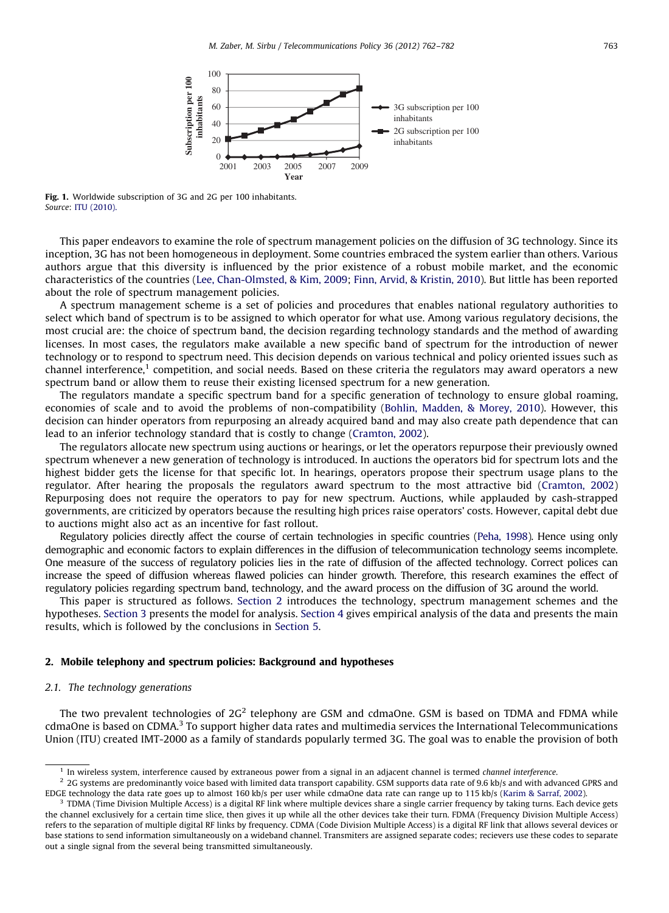<span id="page-1-0"></span>

Fig. 1. Worldwide subscription of 3G and 2G per 100 inhabitants. Source: [ITU \(2010\).](#page--1-0)

This paper endeavors to examine the role of spectrum management policies on the diffusion of 3G technology. Since its inception, 3G has not been homogeneous in deployment. Some countries embraced the system earlier than others. Various authors argue that this diversity is influenced by the prior existence of a robust mobile market, and the economic characteristics of the countries ([Lee, Chan-Olmsted, & Kim, 2009;](#page--1-0) [Finn, Arvid, & Kristin, 2010\)](#page--1-0). But little has been reported about the role of spectrum management policies.

A spectrum management scheme is a set of policies and procedures that enables national regulatory authorities to select which band of spectrum is to be assigned to which operator for what use. Among various regulatory decisions, the most crucial are: the choice of spectrum band, the decision regarding technology standards and the method of awarding licenses. In most cases, the regulators make available a new specific band of spectrum for the introduction of newer technology or to respond to spectrum need. This decision depends on various technical and policy oriented issues such as channel interference,<sup>1</sup> competition, and social needs. Based on these criteria the regulators may award operators a new spectrum band or allow them to reuse their existing licensed spectrum for a new generation.

The regulators mandate a specific spectrum band for a specific generation of technology to ensure global roaming, economies of scale and to avoid the problems of non-compatibility [\(Bohlin, Madden, & Morey, 2010\)](#page--1-0). However, this decision can hinder operators from repurposing an already acquired band and may also create path dependence that can lead to an inferior technology standard that is costly to change [\(Cramton, 2002](#page--1-0)).

The regulators allocate new spectrum using auctions or hearings, or let the operators repurpose their previously owned spectrum whenever a new generation of technology is introduced. In auctions the operators bid for spectrum lots and the highest bidder gets the license for that specific lot. In hearings, operators propose their spectrum usage plans to the regulator. After hearing the proposals the regulators award spectrum to the most attractive bid [\(Cramton, 2002](#page--1-0)) Repurposing does not require the operators to pay for new spectrum. Auctions, while applauded by cash-strapped governments, are criticized by operators because the resulting high prices raise operators' costs. However, capital debt due to auctions might also act as an incentive for fast rollout.

Regulatory policies directly affect the course of certain technologies in specific countries ([Peha, 1998\)](#page--1-0). Hence using only demographic and economic factors to explain differences in the diffusion of telecommunication technology seems incomplete. One measure of the success of regulatory policies lies in the rate of diffusion of the affected technology. Correct polices can increase the speed of diffusion whereas flawed policies can hinder growth. Therefore, this research examines the effect of regulatory policies regarding spectrum band, technology, and the award process on the diffusion of 3G around the world.

This paper is structured as follows. Section 2 introduces the technology, spectrum management schemes and the hypotheses. [Section 3](#page--1-0) presents the model for analysis. [Section 4](#page--1-0) gives empirical analysis of the data and presents the main results, which is followed by the conclusions in [Section 5](#page--1-0).

#### 2. Mobile telephony and spectrum policies: Background and hypotheses

#### 2.1. The technology generations

The two prevalent technologies of  $2G<sup>2</sup>$  telephony are GSM and cdmaOne. GSM is based on TDMA and FDMA while cdmaOne is based on CDMA.3 To support higher data rates and multimedia services the International Telecommunications Union (ITU) created IMT-2000 as a family of standards popularly termed 3G. The goal was to enable the provision of both

<sup>&</sup>lt;sup>1</sup> In wireless system, interference caused by extraneous power from a signal in an adjacent channel is termed channel interference.

<sup>&</sup>lt;sup>2</sup> 2G systems are predominantly voice based with limited data transport capability. GSM supports data rate of 9.6 kb/s and with advanced GPRS and EDGE technology the data rate goes up to almost 160 kb/s per user while cdmaOne data rate can range up to 115 kb/s ([Karim](#page--1-0) [& Sarraf, 2002](#page--1-0)).

<sup>3</sup> TDMA (Time Division Multiple Access) is a digital RF link where multiple devices share a single carrier frequency by taking turns. Each device gets the channel exclusively for a certain time slice, then gives it up while all the other devices take their turn. FDMA (Frequency Division Multiple Access) refers to the separation of multiple digital RF links by frequency. CDMA (Code Division Multiple Access) is a digital RF link that allows several devices or base stations to send information simultaneously on a wideband channel. Transmiters are assigned separate codes; recievers use these codes to separate out a single signal from the several being transmitted simultaneously.